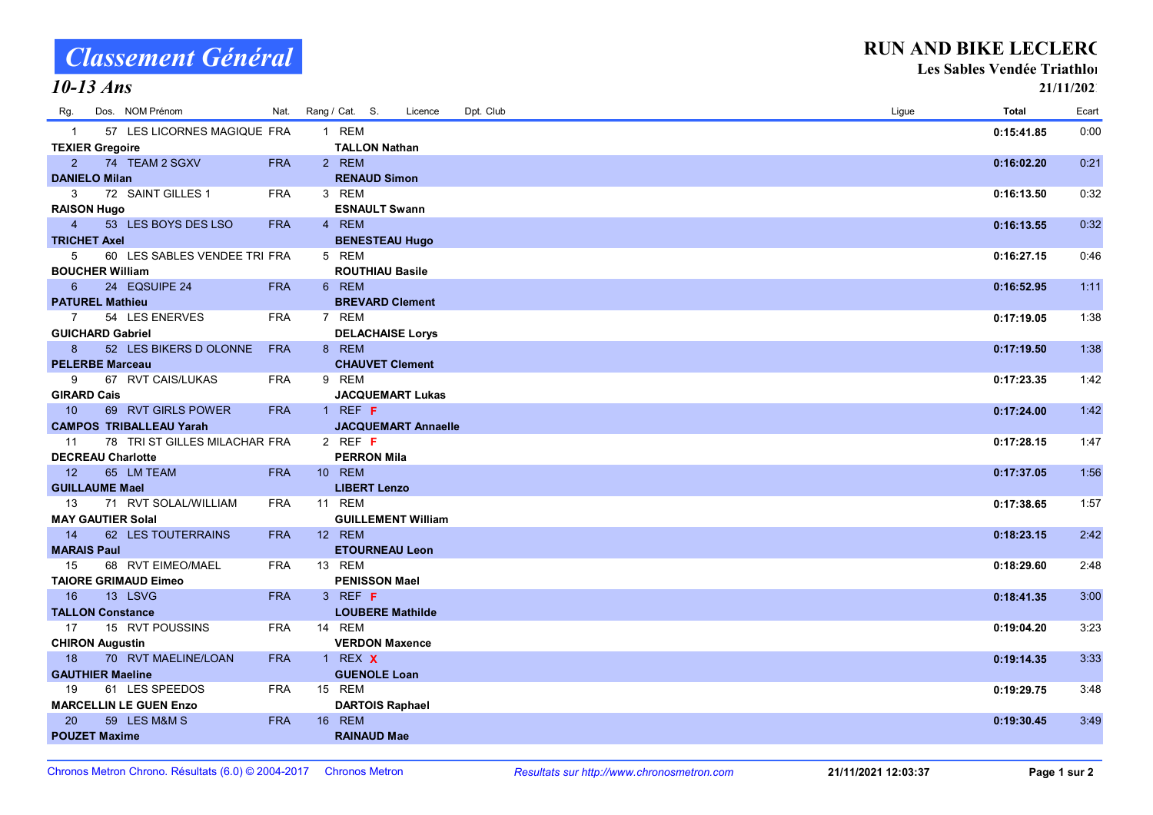TEXIER Gregoire TALLON Nathan<br>
2 74 TEAM 2 SGXV FRA 2 REM

**DANIELO Milan RENAUD Simon** 

| 3                        | 72 SAINT GILLES 1              | <b>FRA</b> | 3 REM                      | 0:16:13.50 | 0:32 |
|--------------------------|--------------------------------|------------|----------------------------|------------|------|
| <b>RAISON Hugo</b>       |                                |            | <b>ESNAULT Swann</b>       |            |      |
| $\overline{4}$           | 53 LES BOYS DES LSO            | <b>FRA</b> | 4 REM                      | 0:16:13.55 | 0:32 |
| <b>TRICHET Axel</b>      |                                |            | <b>BENESTEAU Hugo</b>      |            |      |
| 5                        | 60 LES SABLES VENDEE TRI FRA   |            | 5 REM                      | 0:16:27.15 | 0:46 |
| <b>BOUCHER William</b>   |                                |            | <b>ROUTHIAU Basile</b>     |            |      |
| 6                        | 24 EQSUIPE 24                  | <b>FRA</b> | 6 REM                      | 0:16:52.95 | 1:11 |
| <b>PATUREL Mathieu</b>   |                                |            | <b>BREVARD Clement</b>     |            |      |
| 7                        | 54 LES ENERVES                 | <b>FRA</b> | 7 REM                      | 0:17:19.05 | 1:38 |
| <b>GUICHARD Gabriel</b>  |                                |            | <b>DELACHAISE Lorys</b>    |            |      |
| 8 <sup>2</sup>           | 52 LES BIKERS D OLONNE         | <b>FRA</b> | 8 REM                      | 0:17:19.50 | 1:38 |
| <b>PELERBE Marceau</b>   |                                |            | <b>CHAUVET Clement</b>     |            |      |
| 9                        | 67 RVT CAIS/LUKAS              | <b>FRA</b> | 9 REM                      | 0:17:23.35 | 1:42 |
| <b>GIRARD Cais</b>       |                                |            | <b>JACQUEMART Lukas</b>    |            |      |
| $\overline{10}$          | 69 RVT GIRLS POWER             | <b>FRA</b> | $1$ REF F                  | 0:17:24.00 | 1.42 |
|                          | <b>CAMPOS TRIBALLEAU Yarah</b> |            | <b>JACQUEMART Annaelle</b> |            |      |
| 11                       | 78 TRI ST GILLES MILACHAR FRA  |            | 2 REF $F$                  | 0:17:28.15 | 1.47 |
| <b>DECREAU Charlotte</b> |                                |            | <b>PERRON Mila</b>         |            |      |
| $\overline{12}$          | 65 LM TEAM                     | <b>FRA</b> | 10 REM                     | 0:17:37.05 | 1:56 |
| <b>GUILLAUME Mael</b>    |                                |            | <b>LIBERT Lenzo</b>        |            |      |
| - 13                     | 71 RVT SOLAL/WILLIAM           | <b>FRA</b> | 11 REM                     | 0:17:38.65 | 1:57 |
| <b>MAY GAUTIER Solal</b> |                                |            | <b>GUILLEMENT William</b>  |            |      |
| $\overline{14}$          | 62 LES TOUTERRAINS             | <b>FRA</b> | 12 REM                     | 0:18:23.15 | 2:42 |
| <b>MARAIS Paul</b>       |                                |            | <b>ETOURNEAU Leon</b>      |            |      |
| 15                       | 68 RVT EIMEO/MAEL              | <b>FRA</b> | 13 REM                     | 0:18:29.60 | 2:48 |
|                          | <b>TAIORE GRIMAUD Eimeo</b>    |            | <b>PENISSON Mael</b>       |            |      |
| 16                       | 13 LSVG                        | <b>FRA</b> | $3$ REF F                  | 0:18:41.35 | 3:00 |
| <b>TALLON Constance</b>  |                                |            | <b>LOUBERE Mathilde</b>    |            |      |
| 17                       | 15 RVT POUSSINS                | <b>FRA</b> | 14 REM                     | 0:19:04.20 | 3:23 |
| <b>CHIRON Augustin</b>   |                                |            | <b>VERDON Maxence</b>      |            |      |
| 18                       | 70 RVT MAELINE/LOAN            | <b>FRA</b> | 1 REX <b>X</b>             | 0:19:14.35 | 3:33 |
| <b>GAUTHIER Maeline</b>  |                                |            | <b>GUENOLE Loan</b>        |            |      |
| 19                       | 61 LES SPEEDOS                 | <b>FRA</b> | 15 REM                     | 0:19:29.75 | 3:48 |
|                          | <b>MARCELLIN LE GUEN Enzo</b>  |            | <b>DARTOIS Raphael</b>     |            |      |
| -20                      | 59 LES M&M S                   | <b>FRA</b> | <b>16 REM</b>              | 0:19:30.45 | 3:49 |
| <b>POUZET Maxime</b>     |                                |            | <b>RAINAUD Mae</b>         |            |      |

Rg. NOM Prénom Cat. Dpt. Dos. Nat. Rang / S. Club Ligue Licence Ecart Total

1 57 LES LICORNES MAGIQUE FRA 1 REM 2000 CHA REM 2000 CHA REM 2000 CHA REM 2015:41.85 0:00

2 74 FRA REM TEAM 2 SGXV 2 0:16:02.20 0:21

## Classement Général 10-13 Ans

#### RUN AND BIKE LECLERC

Les Sables Vendée Triathlon

21/11/2021